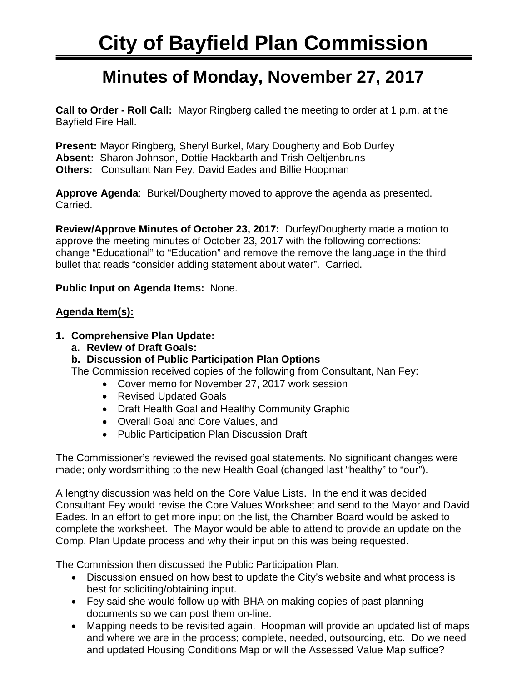## **Minutes of Monday, November 27, 2017**

**Call to Order - Roll Call:** Mayor Ringberg called the meeting to order at 1 p.m. at the Bayfield Fire Hall.

**Present:** Mayor Ringberg, Sheryl Burkel, Mary Dougherty and Bob Durfey **Absent:** Sharon Johnson, Dottie Hackbarth and Trish Oeltjenbruns **Others:** Consultant Nan Fey, David Eades and Billie Hoopman

**Approve Agenda**: Burkel/Dougherty moved to approve the agenda as presented. Carried.

**Review/Approve Minutes of October 23, 2017:** Durfey/Dougherty made a motion to approve the meeting minutes of October 23, 2017 with the following corrections: change "Educational" to "Education" and remove the remove the language in the third bullet that reads "consider adding statement about water". Carried.

**Public Input on Agenda Items:** None.

## **Agenda Item(s):**

- **1. Comprehensive Plan Update:** 
	- **a. Review of Draft Goals:**
	- **b. Discussion of Public Participation Plan Options**

The Commission received copies of the following from Consultant, Nan Fey:

- Cover memo for November 27, 2017 work session
- Revised Updated Goals
- Draft Health Goal and Healthy Community Graphic
- Overall Goal and Core Values, and
- Public Participation Plan Discussion Draft

The Commissioner's reviewed the revised goal statements. No significant changes were made; only wordsmithing to the new Health Goal (changed last "healthy" to "our").

A lengthy discussion was held on the Core Value Lists. In the end it was decided Consultant Fey would revise the Core Values Worksheet and send to the Mayor and David Eades. In an effort to get more input on the list, the Chamber Board would be asked to complete the worksheet. The Mayor would be able to attend to provide an update on the Comp. Plan Update process and why their input on this was being requested.

The Commission then discussed the Public Participation Plan.

- Discussion ensued on how best to update the City's website and what process is best for soliciting/obtaining input.
- Fey said she would follow up with BHA on making copies of past planning documents so we can post them on-line.
- Mapping needs to be revisited again. Hoopman will provide an updated list of maps and where we are in the process; complete, needed, outsourcing, etc. Do we need and updated Housing Conditions Map or will the Assessed Value Map suffice?